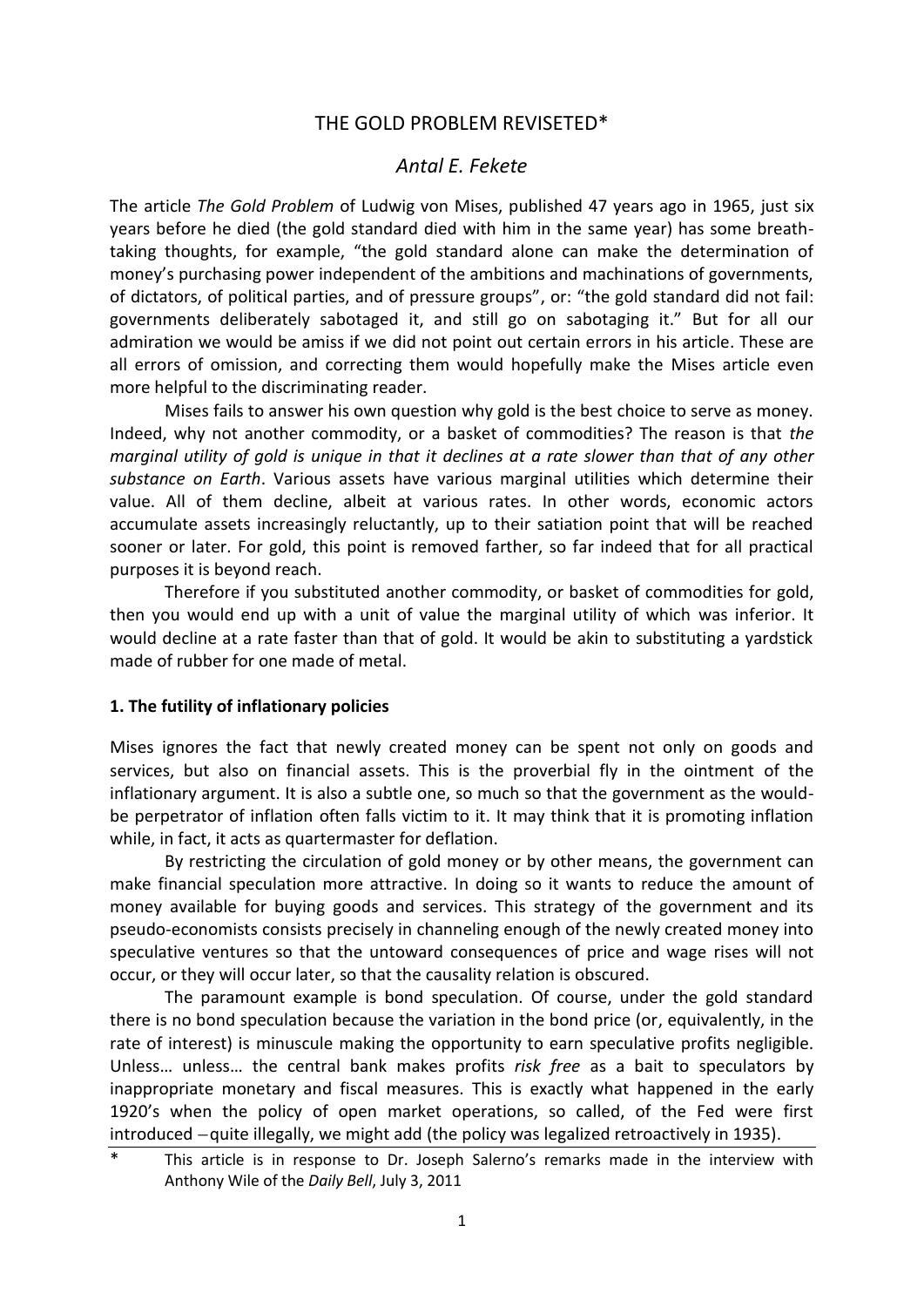# THE GOLD PROBLEM REVISETED\*

## *Antal E. Fekete*

The article *The Gold Problem* of Ludwig von Mises, published 47 years ago in 1965, just six years before he died (the gold standard died with him in the same year) has some breathtaking thoughts, for example, "the gold standard alone can make the determination of money's purchasing power independent of the ambitions and machinations of governments, of dictators, of political parties, and of pressure groups", or: "the gold standard did not fail: governments deliberately sabotaged it, and still go on sabotaging it." But for all our admiration we would be amiss if we did not point out certain errors in his article. These are all errors of omission, and correcting them would hopefully make the Mises article even more helpful to the discriminating reader.

Mises fails to answer his own question why gold is the best choice to serve as money. Indeed, why not another commodity, or a basket of commodities? The reason is that *the marginal utility of gold is unique in that it declines at a rate slower than that of any other substance on Earth*. Various assets have various marginal utilities which determine their value. All of them decline, albeit at various rates. In other words, economic actors accumulate assets increasingly reluctantly, up to their satiation point that will be reached sooner or later. For gold, this point is removed farther, so far indeed that for all practical purposes it is beyond reach.

Therefore if you substituted another commodity, or basket of commodities for gold, then you would end up with a unit of value the marginal utility of which was inferior. It would decline at a rate faster than that of gold. It would be akin to substituting a yardstick made of rubber for one made of metal.

#### **1. The futility of inflationary policies**

Mises ignores the fact that newly created money can be spent not only on goods and services, but also on financial assets. This is the proverbial fly in the ointment of the inflationary argument. It is also a subtle one, so much so that the government as the wouldbe perpetrator of inflation often falls victim to it. It may think that it is promoting inflation while, in fact, it acts as quartermaster for deflation.

By restricting the circulation of gold money or by other means, the government can make financial speculation more attractive. In doing so it wants to reduce the amount of money available for buying goods and services. This strategy of the government and its pseudo-economists consists precisely in channeling enough of the newly created money into speculative ventures so that the untoward consequences of price and wage rises will not occur, or they will occur later, so that the causality relation is obscured.

The paramount example is bond speculation. Of course, under the gold standard there is no bond speculation because the variation in the bond price (or, equivalently, in the rate of interest) is minuscule making the opportunity to earn speculative profits negligible. Unless… unless… the central bank makes profits *risk free* as a bait to speculators by inappropriate monetary and fiscal measures. This is exactly what happened in the early 1920's when the policy of open market operations, so called, of the Fed were first introduced -quite illegally, we might add (the policy was legalized retroactively in 1935).

This article is in response to Dr. Joseph Salerno's remarks made in the interview with Anthony Wile of the *Daily Bell*, July 3, 2011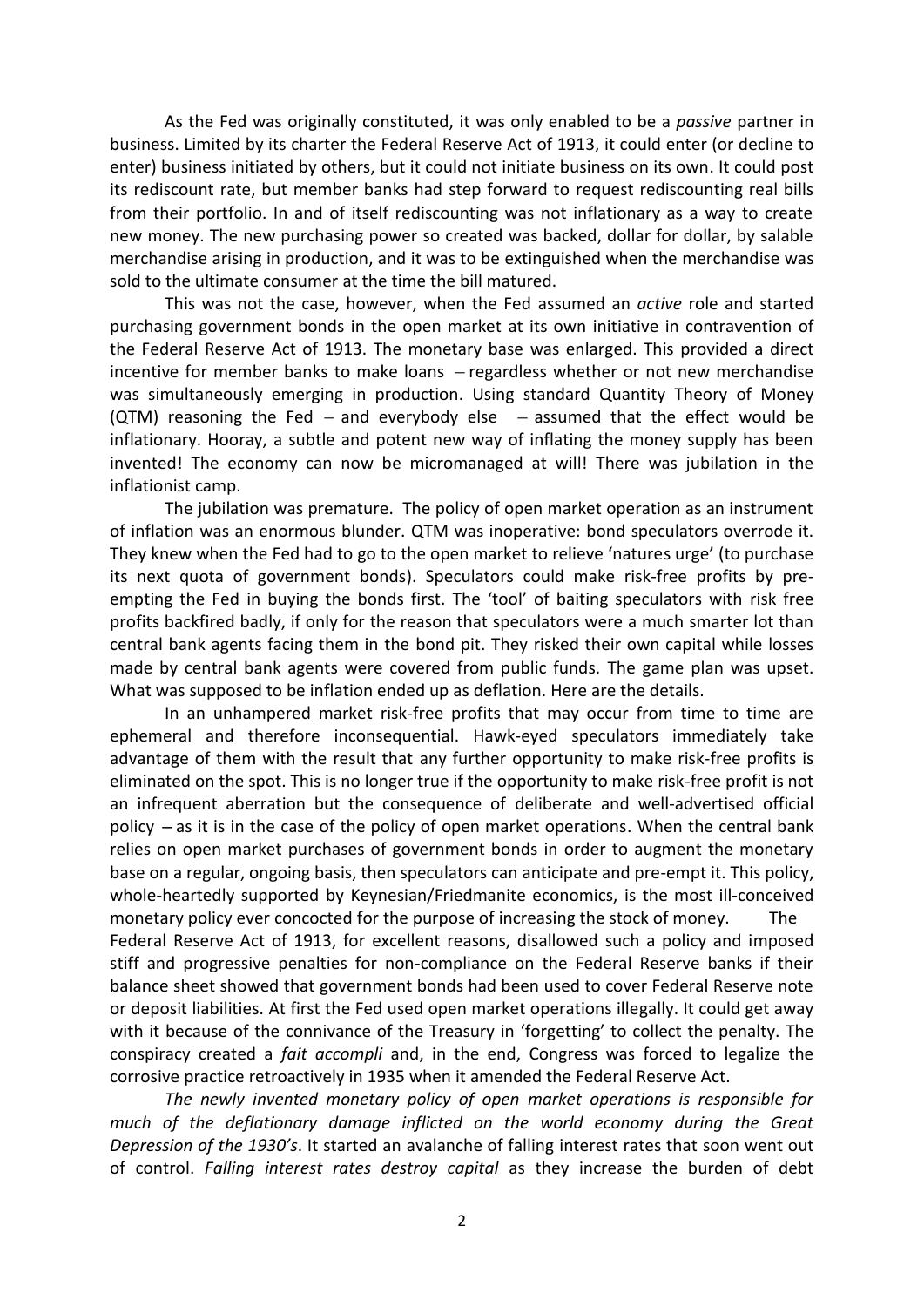As the Fed was originally constituted, it was only enabled to be a *passive* partner in business. Limited by its charter the Federal Reserve Act of 1913, it could enter (or decline to enter) business initiated by others, but it could not initiate business on its own. It could post its rediscount rate, but member banks had step forward to request rediscounting real bills from their portfolio. In and of itself rediscounting was not inflationary as a way to create new money. The new purchasing power so created was backed, dollar for dollar, by salable merchandise arising in production, and it was to be extinguished when the merchandise was sold to the ultimate consumer at the time the bill matured.

This was not the case, however, when the Fed assumed an *active* role and started purchasing government bonds in the open market at its own initiative in contravention of the Federal Reserve Act of 1913. The monetary base was enlarged. This provided a direct incentive for member banks to make loans  $-$  regardless whether or not new merchandise was simultaneously emerging in production. Using standard Quantity Theory of Money (QTM) reasoning the Fed  $-$  and everybody else  $-$  assumed that the effect would be inflationary. Hooray, a subtle and potent new way of inflating the money supply has been invented! The economy can now be micromanaged at will! There was jubilation in the inflationist camp.

The jubilation was premature. The policy of open market operation as an instrument of inflation was an enormous blunder. QTM was inoperative: bond speculators overrode it. They knew when the Fed had to go to the open market to relieve 'natures urge' (to purchase its next quota of government bonds). Speculators could make risk-free profits by preempting the Fed in buying the bonds first. The 'tool' of baiting speculators with risk free profits backfired badly, if only for the reason that speculators were a much smarter lot than central bank agents facing them in the bond pit. They risked their own capital while losses made by central bank agents were covered from public funds. The game plan was upset. What was supposed to be inflation ended up as deflation. Here are the details.

In an unhampered market risk-free profits that may occur from time to time are ephemeral and therefore inconsequential. Hawk-eyed speculators immediately take advantage of them with the result that any further opportunity to make risk-free profits is eliminated on the spot. This is no longer true if the opportunity to make risk-free profit is not an infrequent aberration but the consequence of deliberate and well-advertised official policy  $-$  as it is in the case of the policy of open market operations. When the central bank relies on open market purchases of government bonds in order to augment the monetary base on a regular, ongoing basis, then speculators can anticipate and pre-empt it. This policy, whole-heartedly supported by Keynesian/Friedmanite economics, is the most ill-conceived monetary policy ever concocted for the purpose of increasing the stock of money. The

Federal Reserve Act of 1913, for excellent reasons, disallowed such a policy and imposed stiff and progressive penalties for non-compliance on the Federal Reserve banks if their balance sheet showed that government bonds had been used to cover Federal Reserve note or deposit liabilities. At first the Fed used open market operations illegally. It could get away with it because of the connivance of the Treasury in 'forgetting' to collect the penalty. The conspiracy created a *fait accompli* and, in the end, Congress was forced to legalize the corrosive practice retroactively in 1935 when it amended the Federal Reserve Act.

*The newly invented monetary policy of open market operations is responsible for much of the deflationary damage inflicted on the world economy during the Great Depression of the 1930's*. It started an avalanche of falling interest rates that soon went out of control. *Falling interest rates destroy capital* as they increase the burden of debt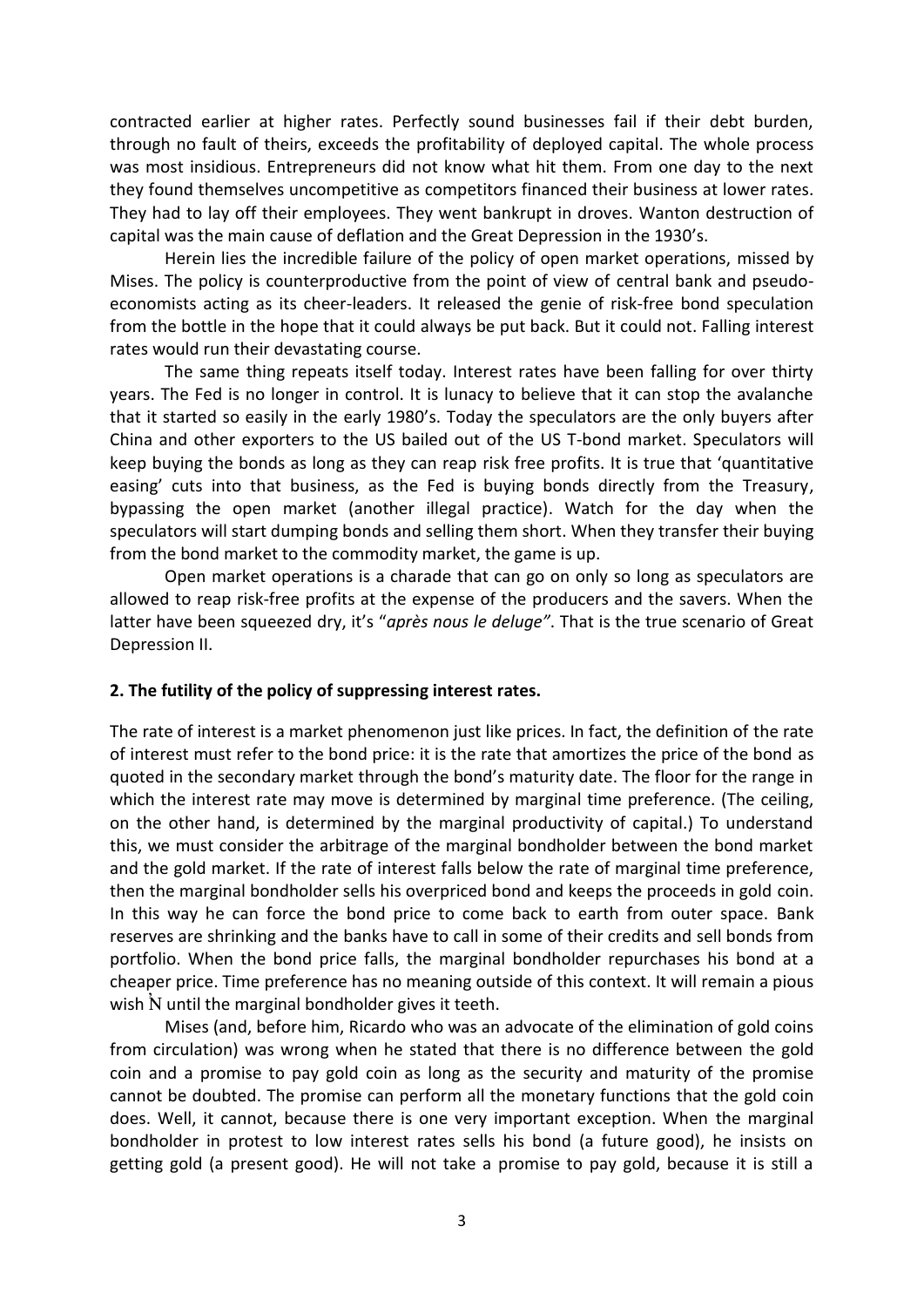contracted earlier at higher rates. Perfectly sound businesses fail if their debt burden, through no fault of theirs, exceeds the profitability of deployed capital. The whole process was most insidious. Entrepreneurs did not know what hit them. From one day to the next they found themselves uncompetitive as competitors financed their business at lower rates. They had to lay off their employees. They went bankrupt in droves. Wanton destruction of capital was the main cause of deflation and the Great Depression in the 1930's.

Herein lies the incredible failure of the policy of open market operations, missed by Mises. The policy is counterproductive from the point of view of central bank and pseudoeconomists acting as its cheer-leaders. It released the genie of risk-free bond speculation from the bottle in the hope that it could always be put back. But it could not. Falling interest rates would run their devastating course.

The same thing repeats itself today. Interest rates have been falling for over thirty years. The Fed is no longer in control. It is lunacy to believe that it can stop the avalanche that it started so easily in the early 1980's. Today the speculators are the only buyers after China and other exporters to the US bailed out of the US T-bond market. Speculators will keep buying the bonds as long as they can reap risk free profits. It is true that 'quantitative easing' cuts into that business, as the Fed is buying bonds directly from the Treasury, bypassing the open market (another illegal practice). Watch for the day when the speculators will start dumping bonds and selling them short. When they transfer their buying from the bond market to the commodity market, the game is up.

Open market operations is a charade that can go on only so long as speculators are allowed to reap risk-free profits at the expense of the producers and the savers. When the latter have been squeezed dry, it's "*après nous le deluge"*. That is the true scenario of Great Depression II.

#### **2. The futility of the policy of suppressing interest rates.**

The rate of interest is a market phenomenon just like prices. In fact, the definition of the rate of interest must refer to the bond price: it is the rate that amortizes the price of the bond as quoted in the secondary market through the bond's maturity date. The floor for the range in which the interest rate may move is determined by marginal time preference. (The ceiling, on the other hand, is determined by the marginal productivity of capital.) To understand this, we must consider the arbitrage of the marginal bondholder between the bond market and the gold market. If the rate of interest falls below the rate of marginal time preference, then the marginal bondholder sells his overpriced bond and keeps the proceeds in gold coin. In this way he can force the bond price to come back to earth from outer space. Bank reserves are shrinking and the banks have to call in some of their credits and sell bonds from portfolio. When the bond price falls, the marginal bondholder repurchases his bond at a cheaper price. Time preference has no meaning outside of this context. It will remain a pious wish N until the marginal bondholder gives it teeth.

Mises (and, before him, Ricardo who was an advocate of the elimination of gold coins from circulation) was wrong when he stated that there is no difference between the gold coin and a promise to pay gold coin as long as the security and maturity of the promise cannot be doubted. The promise can perform all the monetary functions that the gold coin does. Well, it cannot, because there is one very important exception. When the marginal bondholder in protest to low interest rates sells his bond (a future good), he insists on getting gold (a present good). He will not take a promise to pay gold, because it is still a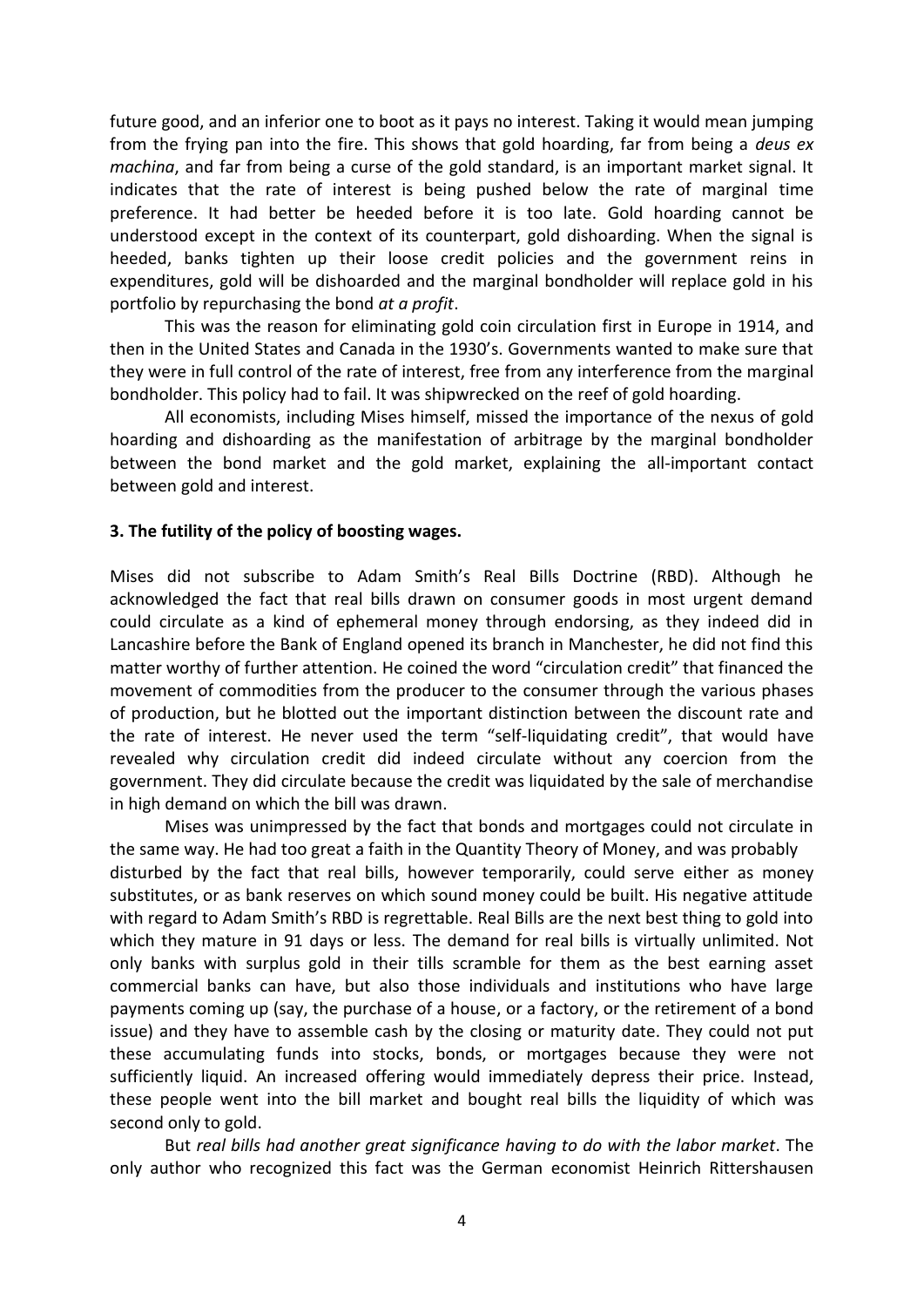future good, and an inferior one to boot as it pays no interest. Taking it would mean jumping from the frying pan into the fire. This shows that gold hoarding, far from being a *deus ex machina*, and far from being a curse of the gold standard, is an important market signal. It indicates that the rate of interest is being pushed below the rate of marginal time preference. It had better be heeded before it is too late. Gold hoarding cannot be understood except in the context of its counterpart, gold dishoarding. When the signal is heeded, banks tighten up their loose credit policies and the government reins in expenditures, gold will be dishoarded and the marginal bondholder will replace gold in his portfolio by repurchasing the bond *at a profit*.

This was the reason for eliminating gold coin circulation first in Europe in 1914, and then in the United States and Canada in the 1930's. Governments wanted to make sure that they were in full control of the rate of interest, free from any interference from the marginal bondholder. This policy had to fail. It was shipwrecked on the reef of gold hoarding.

All economists, including Mises himself, missed the importance of the nexus of gold hoarding and dishoarding as the manifestation of arbitrage by the marginal bondholder between the bond market and the gold market, explaining the all-important contact between gold and interest.

#### **3. The futility of the policy of boosting wages.**

Mises did not subscribe to Adam Smith's Real Bills Doctrine (RBD). Although he acknowledged the fact that real bills drawn on consumer goods in most urgent demand could circulate as a kind of ephemeral money through endorsing, as they indeed did in Lancashire before the Bank of England opened its branch in Manchester, he did not find this matter worthy of further attention. He coined the word "circulation credit" that financed the movement of commodities from the producer to the consumer through the various phases of production, but he blotted out the important distinction between the discount rate and the rate of interest. He never used the term "self-liquidating credit", that would have revealed why circulation credit did indeed circulate without any coercion from the government. They did circulate because the credit was liquidated by the sale of merchandise in high demand on which the bill was drawn.

Mises was unimpressed by the fact that bonds and mortgages could not circulate in the same way. He had too great a faith in the Quantity Theory of Money, and was probably disturbed by the fact that real bills, however temporarily, could serve either as money substitutes, or as bank reserves on which sound money could be built. His negative attitude with regard to Adam Smith's RBD is regrettable. Real Bills are the next best thing to gold into which they mature in 91 days or less. The demand for real bills is virtually unlimited. Not only banks with surplus gold in their tills scramble for them as the best earning asset commercial banks can have, but also those individuals and institutions who have large payments coming up (say, the purchase of a house, or a factory, or the retirement of a bond issue) and they have to assemble cash by the closing or maturity date. They could not put these accumulating funds into stocks, bonds, or mortgages because they were not sufficiently liquid. An increased offering would immediately depress their price. Instead, these people went into the bill market and bought real bills the liquidity of which was second only to gold.

But *real bills had another great significance having to do with the labor market*. The only author who recognized this fact was the German economist Heinrich Rittershausen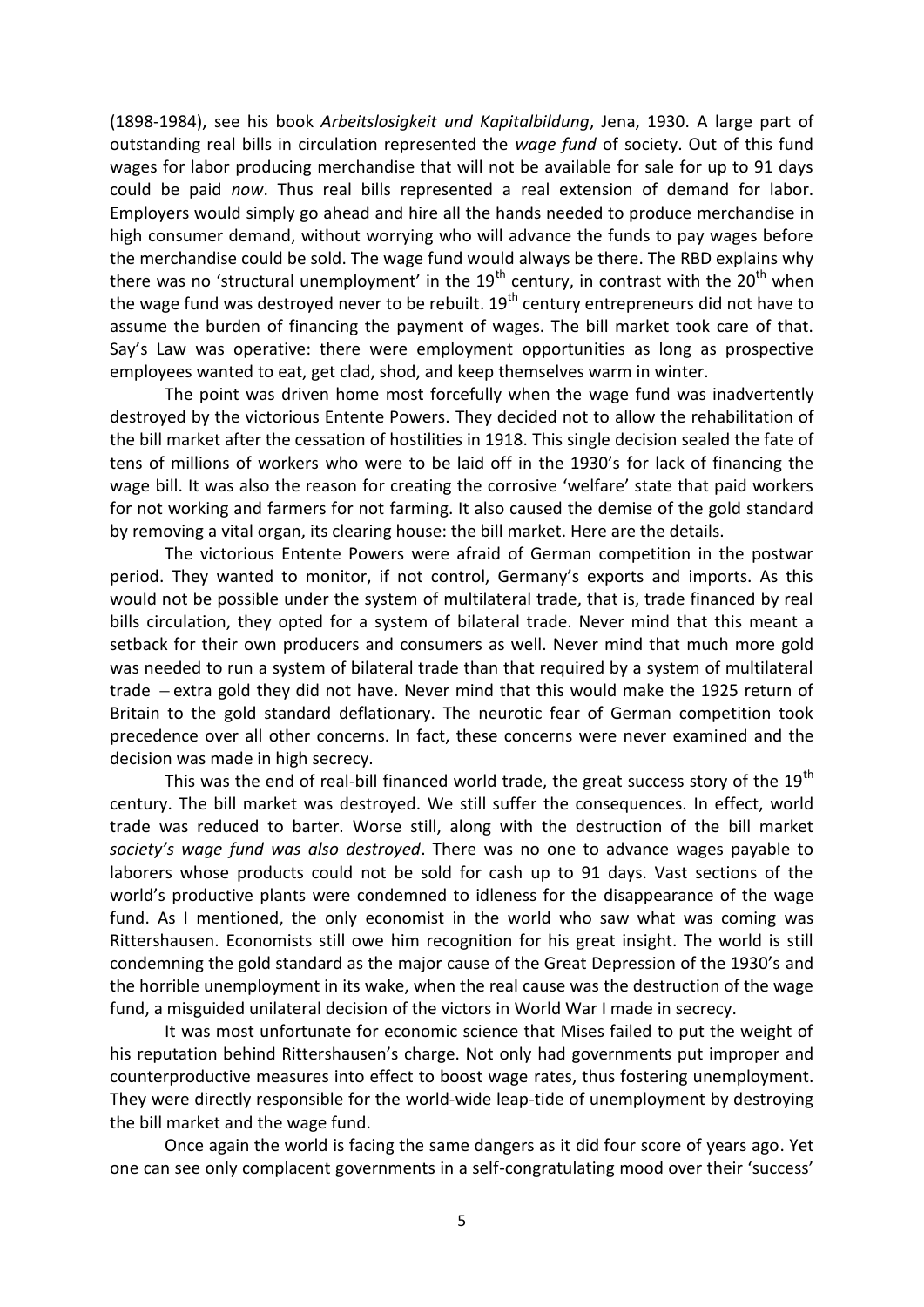(1898-1984), see his book *Arbeitslosigkeit und Kapitalbildung*, Jena, 1930. A large part of outstanding real bills in circulation represented the *wage fund* of society. Out of this fund wages for labor producing merchandise that will not be available for sale for up to 91 days could be paid *now*. Thus real bills represented a real extension of demand for labor. Employers would simply go ahead and hire all the hands needed to produce merchandise in high consumer demand, without worrying who will advance the funds to pay wages before the merchandise could be sold. The wage fund would always be there. The RBD explains why there was no 'structural unemployment' in the  $19<sup>th</sup>$  century, in contrast with the  $20<sup>th</sup>$  when the wage fund was destroyed never to be rebuilt.  $19<sup>th</sup>$  century entrepreneurs did not have to assume the burden of financing the payment of wages. The bill market took care of that. Say's Law was operative: there were employment opportunities as long as prospective employees wanted to eat, get clad, shod, and keep themselves warm in winter.

The point was driven home most forcefully when the wage fund was inadvertently destroyed by the victorious Entente Powers. They decided not to allow the rehabilitation of the bill market after the cessation of hostilities in 1918. This single decision sealed the fate of tens of millions of workers who were to be laid off in the 1930's for lack of financing the wage bill. It was also the reason for creating the corrosive 'welfare' state that paid workers for not working and farmers for not farming. It also caused the demise of the gold standard by removing a vital organ, its clearing house: the bill market. Here are the details.

The victorious Entente Powers were afraid of German competition in the postwar period. They wanted to monitor, if not control, Germany's exports and imports. As this would not be possible under the system of multilateral trade, that is, trade financed by real bills circulation, they opted for a system of bilateral trade. Never mind that this meant a setback for their own producers and consumers as well. Never mind that much more gold was needed to run a system of bilateral trade than that required by a system of multilateral trade  $-$  extra gold they did not have. Never mind that this would make the 1925 return of Britain to the gold standard deflationary. The neurotic fear of German competition took precedence over all other concerns. In fact, these concerns were never examined and the decision was made in high secrecy.

This was the end of real-bill financed world trade, the great success story of the  $19<sup>th</sup>$ century. The bill market was destroyed. We still suffer the consequences. In effect, world trade was reduced to barter. Worse still, along with the destruction of the bill market *society's wage fund was also destroyed*. There was no one to advance wages payable to laborers whose products could not be sold for cash up to 91 days. Vast sections of the world's productive plants were condemned to idleness for the disappearance of the wage fund. As I mentioned, the only economist in the world who saw what was coming was Rittershausen. Economists still owe him recognition for his great insight. The world is still condemning the gold standard as the major cause of the Great Depression of the 1930's and the horrible unemployment in its wake, when the real cause was the destruction of the wage fund, a misguided unilateral decision of the victors in World War I made in secrecy.

It was most unfortunate for economic science that Mises failed to put the weight of his reputation behind Rittershausen's charge. Not only had governments put improper and counterproductive measures into effect to boost wage rates, thus fostering unemployment. They were directly responsible for the world-wide leap-tide of unemployment by destroying the bill market and the wage fund.

Once again the world is facing the same dangers as it did four score of years ago. Yet one can see only complacent governments in a self-congratulating mood over their 'success'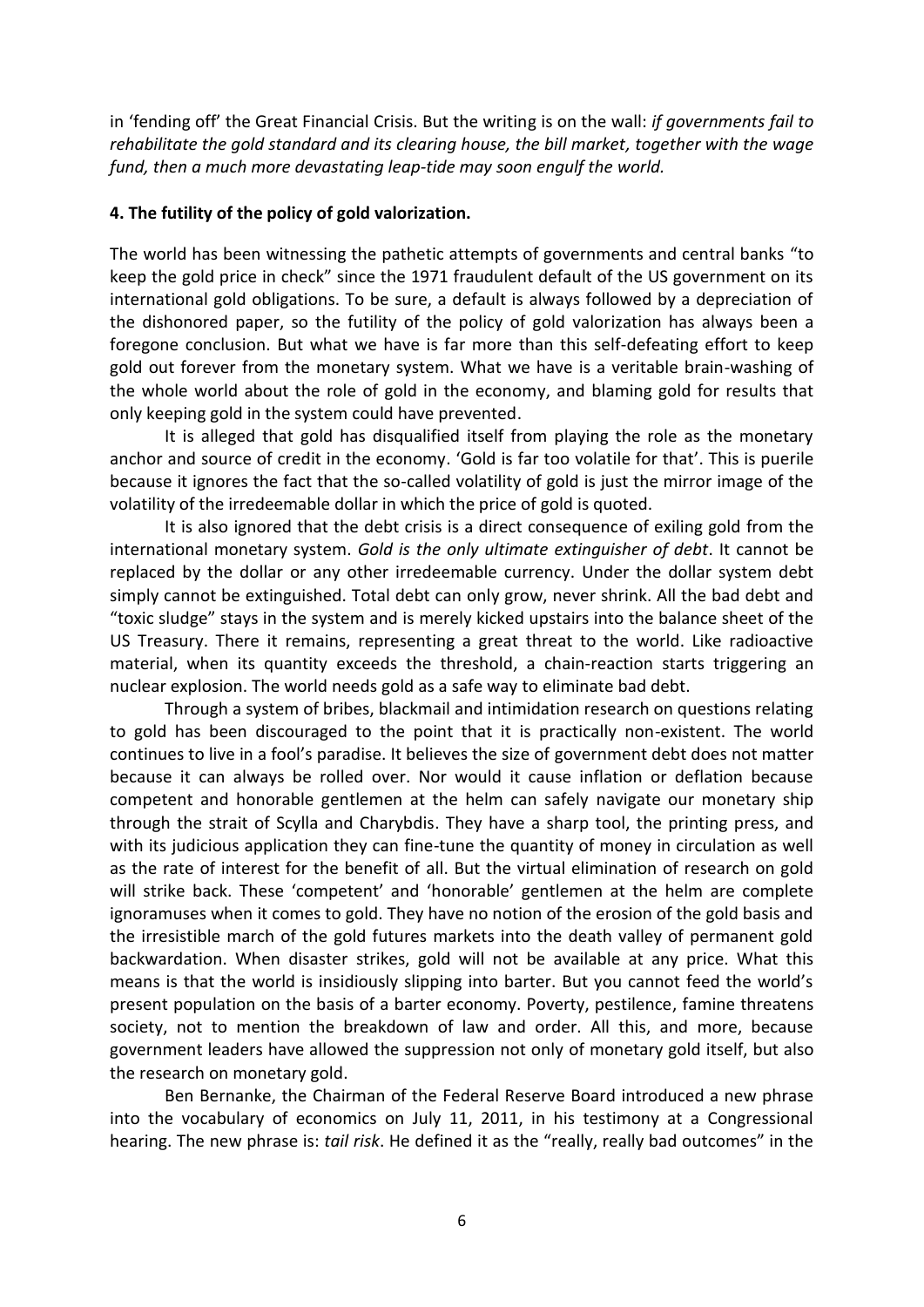in 'fending off' the Great Financial Crisis. But the writing is on the wall: *if governments fail to rehabilitate the gold standard and its clearing house, the bill market, together with the wage fund, then a much more devastating leap-tide may soon engulf the world.*

### **4. The futility of the policy of gold valorization.**

The world has been witnessing the pathetic attempts of governments and central banks "to keep the gold price in check" since the 1971 fraudulent default of the US government on its international gold obligations. To be sure, a default is always followed by a depreciation of the dishonored paper, so the futility of the policy of gold valorization has always been a foregone conclusion. But what we have is far more than this self-defeating effort to keep gold out forever from the monetary system. What we have is a veritable brain-washing of the whole world about the role of gold in the economy, and blaming gold for results that only keeping gold in the system could have prevented.

It is alleged that gold has disqualified itself from playing the role as the monetary anchor and source of credit in the economy. 'Gold is far too volatile for that'. This is puerile because it ignores the fact that the so-called volatility of gold is just the mirror image of the volatility of the irredeemable dollar in which the price of gold is quoted.

It is also ignored that the debt crisis is a direct consequence of exiling gold from the international monetary system. *Gold is the only ultimate extinguisher of debt*. It cannot be replaced by the dollar or any other irredeemable currency. Under the dollar system debt simply cannot be extinguished. Total debt can only grow, never shrink. All the bad debt and "toxic sludge" stays in the system and is merely kicked upstairs into the balance sheet of the US Treasury. There it remains, representing a great threat to the world. Like radioactive material, when its quantity exceeds the threshold, a chain-reaction starts triggering an nuclear explosion. The world needs gold as a safe way to eliminate bad debt.

Through a system of bribes, blackmail and intimidation research on questions relating to gold has been discouraged to the point that it is practically non-existent. The world continues to live in a fool's paradise. It believes the size of government debt does not matter because it can always be rolled over. Nor would it cause inflation or deflation because competent and honorable gentlemen at the helm can safely navigate our monetary ship through the strait of Scylla and Charybdis. They have a sharp tool, the printing press, and with its judicious application they can fine-tune the quantity of money in circulation as well as the rate of interest for the benefit of all. But the virtual elimination of research on gold will strike back. These 'competent' and 'honorable' gentlemen at the helm are complete ignoramuses when it comes to gold. They have no notion of the erosion of the gold basis and the irresistible march of the gold futures markets into the death valley of permanent gold backwardation. When disaster strikes, gold will not be available at any price. What this means is that the world is insidiously slipping into barter. But you cannot feed the world's present population on the basis of a barter economy. Poverty, pestilence, famine threatens society, not to mention the breakdown of law and order. All this, and more, because government leaders have allowed the suppression not only of monetary gold itself, but also the research on monetary gold.

Ben Bernanke, the Chairman of the Federal Reserve Board introduced a new phrase into the vocabulary of economics on July 11, 2011, in his testimony at a Congressional hearing. The new phrase is: *tail risk*. He defined it as the "really, really bad outcomes" in the